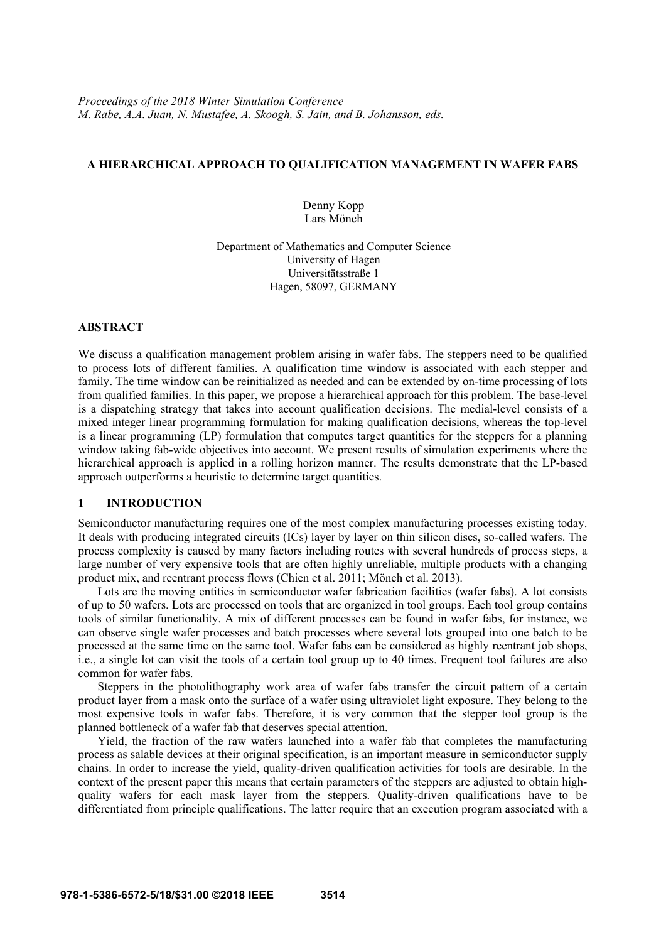# **A HIERARCHICAL APPROACH TO QUALIFICATION MANAGEMENT IN WAFER FABS**

Denny Kopp Lars Mönch

Department of Mathematics and Computer Science University of Hagen Universitätsstraße 1 Hagen, 58097, GERMANY

# **ABSTRACT**

We discuss a qualification management problem arising in wafer fabs. The steppers need to be qualified to process lots of different families. A qualification time window is associated with each stepper and family. The time window can be reinitialized as needed and can be extended by on-time processing of lots from qualified families. In this paper, we propose a hierarchical approach for this problem. The base-level is a dispatching strategy that takes into account qualification decisions. The medial-level consists of a mixed integer linear programming formulation for making qualification decisions, whereas the top-level is a linear programming (LP) formulation that computes target quantities for the steppers for a planning window taking fab-wide objectives into account. We present results of simulation experiments where the hierarchical approach is applied in a rolling horizon manner. The results demonstrate that the LP-based approach outperforms a heuristic to determine target quantities.

## **1 INTRODUCTION**

Semiconductor manufacturing requires one of the most complex manufacturing processes existing today. It deals with producing integrated circuits (ICs) layer by layer on thin silicon discs, so-called wafers. The process complexity is caused by many factors including routes with several hundreds of process steps, a large number of very expensive tools that are often highly unreliable, multiple products with a changing product mix, and reentrant process flows (Chien et al. 2011; Mönch et al. 2013).

Lots are the moving entities in semiconductor wafer fabrication facilities (wafer fabs). A lot consists of up to 50 wafers. Lots are processed on tools that are organized in tool groups. Each tool group contains tools of similar functionality. A mix of different processes can be found in wafer fabs, for instance, we can observe single wafer processes and batch processes where several lots grouped into one batch to be processed at the same time on the same tool. Wafer fabs can be considered as highly reentrant job shops, i.e., a single lot can visit the tools of a certain tool group up to 40 times. Frequent tool failures are also common for wafer fabs.

Steppers in the photolithography work area of wafer fabs transfer the circuit pattern of a certain product layer from a mask onto the surface of a wafer using ultraviolet light exposure. They belong to the most expensive tools in wafer fabs. Therefore, it is very common that the stepper tool group is the planned bottleneck of a wafer fab that deserves special attention.

Yield, the fraction of the raw wafers launched into a wafer fab that completes the manufacturing process as salable devices at their original specification, is an important measure in semiconductor supply chains. In order to increase the yield, quality-driven qualification activities for tools are desirable. In the context of the present paper this means that certain parameters of the steppers are adjusted to obtain highquality wafers for each mask layer from the steppers. Quality-driven qualifications have to be differentiated from principle qualifications. The latter require that an execution program associated with a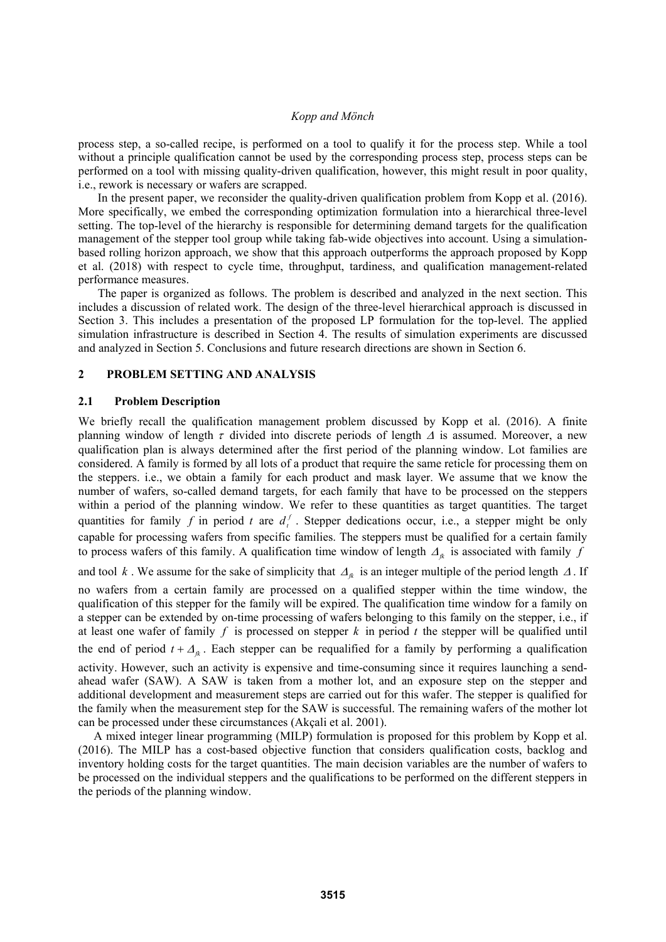process step, a so-called recipe, is performed on a tool to qualify it for the process step. While a tool without a principle qualification cannot be used by the corresponding process step, process steps can be performed on a tool with missing quality-driven qualification, however, this might result in poor quality, i.e., rework is necessary or wafers are scrapped.

In the present paper, we reconsider the quality-driven qualification problem from Kopp et al. (2016). More specifically, we embed the corresponding optimization formulation into a hierarchical three-level setting. The top-level of the hierarchy is responsible for determining demand targets for the qualification management of the stepper tool group while taking fab-wide objectives into account. Using a simulationbased rolling horizon approach, we show that this approach outperforms the approach proposed by Kopp et al. (2018) with respect to cycle time, throughput, tardiness, and qualification management-related performance measures.

The paper is organized as follows. The problem is described and analyzed in the next section. This includes a discussion of related work. The design of the three-level hierarchical approach is discussed in Section 3. This includes a presentation of the proposed LP formulation for the top-level. The applied simulation infrastructure is described in Section 4. The results of simulation experiments are discussed and analyzed in Section 5. Conclusions and future research directions are shown in Section 6.

# **2 PROBLEM SETTING AND ANALYSIS**

# **2.1 Problem Description**

We briefly recall the qualification management problem discussed by Kopp et al. (2016). A finite planning window of length  $\tau$  divided into discrete periods of length  $\Delta$  is assumed. Moreover, a new qualification plan is always determined after the first period of the planning window. Lot families are considered. A family is formed by all lots of a product that require the same reticle for processing them on the steppers. i.e., we obtain a family for each product and mask layer. We assume that we know the number of wafers, so-called demand targets, for each family that have to be processed on the steppers within a period of the planning window. We refer to these quantities as target quantities. The target quantities for family *f* in period *t* are  $d_t^f$ . Stepper dedications occur, i.e., a stepper might be only capable for processing wafers from specific families. The steppers must be qualified for a certain family to process wafers of this family. A qualification time window of length  $A_{ik}$  is associated with family  $f$ and tool k. We assume for the sake of simplicity that  $A_k$  is an integer multiple of the period length  $\Lambda$ . If no wafers from a certain family are processed on a qualified stepper within the time window, the qualification of this stepper for the family will be expired. The qualification time window for a family on a stepper can be extended by on-time processing of wafers belonging to this family on the stepper, i.e., if at least one wafer of family  $f$  is processed on stepper  $k$  in period  $t$  the stepper will be qualified until the end of period  $t + \Delta_{\hat{\beta}}$ . Each stepper can be requalified for a family by performing a qualification activity. However, such an activity is expensive and time-consuming since it requires launching a sendahead wafer (SAW). A SAW is taken from a mother lot, and an exposure step on the stepper and additional development and measurement steps are carried out for this wafer. The stepper is qualified for the family when the measurement step for the SAW is successful. The remaining wafers of the mother lot can be processed under these circumstances (Akçali et al. 2001).

A mixed integer linear programming (MILP) formulation is proposed for this problem by Kopp et al. (2016). The MILP has a cost-based objective function that considers qualification costs, backlog and inventory holding costs for the target quantities. The main decision variables are the number of wafers to be processed on the individual steppers and the qualifications to be performed on the different steppers in the periods of the planning window.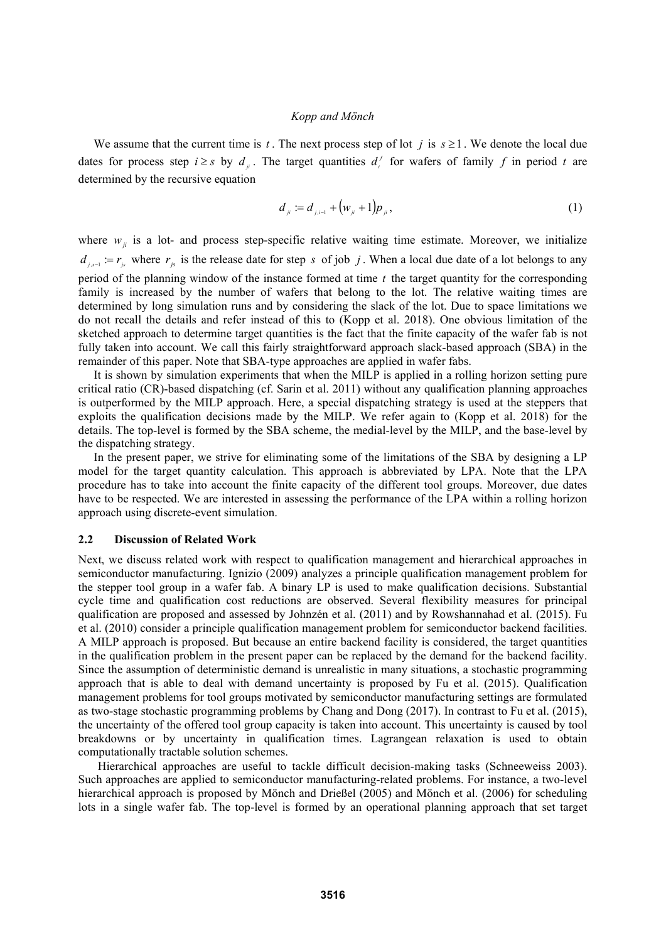We assume that the current time is *t*. The next process step of lot *j* is  $s \ge 1$ . We denote the local due dates for process step  $i \geq s$  by  $d_{ij}$ . The target quantities  $d_i^f$  for wafers of family  $f$  in period  $t$  are determined by the recursive equation

$$
d_{ii} := d_{ii-1} + (w_{ii} + 1)p_{ii}, \qquad (1)
$$

where  $w_{ij}$  is a lot- and process step-specific relative waiting time estimate. Moreover, we initialize  $d_{i,s-1} := r_{i}$  where  $r_{i}$  is the release date for step *s* of job *j*. When a local due date of a lot belongs to any period of the planning window of the instance formed at time *t* the target quantity for the corresponding family is increased by the number of wafers that belong to the lot. The relative waiting times are determined by long simulation runs and by considering the slack of the lot. Due to space limitations we do not recall the details and refer instead of this to (Kopp et al. 2018). One obvious limitation of the sketched approach to determine target quantities is the fact that the finite capacity of the wafer fab is not fully taken into account. We call this fairly straightforward approach slack-based approach (SBA) in the remainder of this paper. Note that SBA-type approaches are applied in wafer fabs.

It is shown by simulation experiments that when the MILP is applied in a rolling horizon setting pure critical ratio (CR)-based dispatching (cf. Sarin et al. 2011) without any qualification planning approaches is outperformed by the MILP approach. Here, a special dispatching strategy is used at the steppers that exploits the qualification decisions made by the MILP. We refer again to (Kopp et al. 2018) for the details. The top-level is formed by the SBA scheme, the medial-level by the MILP, and the base-level by the dispatching strategy.

In the present paper, we strive for eliminating some of the limitations of the SBA by designing a LP model for the target quantity calculation. This approach is abbreviated by LPA. Note that the LPA procedure has to take into account the finite capacity of the different tool groups. Moreover, due dates have to be respected. We are interested in assessing the performance of the LPA within a rolling horizon approach using discrete-event simulation.

#### **2.2 Discussion of Related Work**

Next, we discuss related work with respect to qualification management and hierarchical approaches in semiconductor manufacturing. Ignizio (2009) analyzes a principle qualification management problem for the stepper tool group in a wafer fab. A binary LP is used to make qualification decisions. Substantial cycle time and qualification cost reductions are observed. Several flexibility measures for principal qualification are proposed and assessed by Johnzén et al. (2011) and by Rowshannahad et al. (2015). Fu et al. (2010) consider a principle qualification management problem for semiconductor backend facilities. A MILP approach is proposed. But because an entire backend facility is considered, the target quantities in the qualification problem in the present paper can be replaced by the demand for the backend facility. Since the assumption of deterministic demand is unrealistic in many situations, a stochastic programming approach that is able to deal with demand uncertainty is proposed by Fu et al. (2015). Qualification management problems for tool groups motivated by semiconductor manufacturing settings are formulated as two-stage stochastic programming problems by Chang and Dong (2017). In contrast to Fu et al. (2015), the uncertainty of the offered tool group capacity is taken into account. This uncertainty is caused by tool breakdowns or by uncertainty in qualification times. Lagrangean relaxation is used to obtain computationally tractable solution schemes.

Hierarchical approaches are useful to tackle difficult decision-making tasks (Schneeweiss 2003). Such approaches are applied to semiconductor manufacturing-related problems. For instance, a two-level hierarchical approach is proposed by Mönch and Drießel (2005) and Mönch et al. (2006) for scheduling lots in a single wafer fab. The top-level is formed by an operational planning approach that set target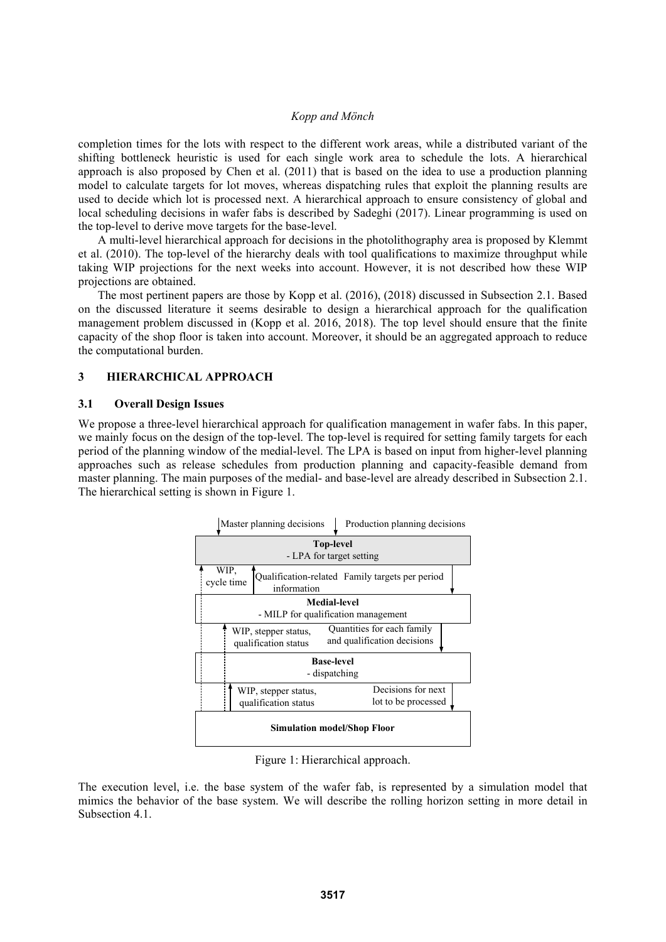completion times for the lots with respect to the different work areas, while a distributed variant of the shifting bottleneck heuristic is used for each single work area to schedule the lots. A hierarchical approach is also proposed by Chen et al. (2011) that is based on the idea to use a production planning model to calculate targets for lot moves, whereas dispatching rules that exploit the planning results are used to decide which lot is processed next. A hierarchical approach to ensure consistency of global and local scheduling decisions in wafer fabs is described by Sadeghi (2017). Linear programming is used on the top-level to derive move targets for the base-level.

A multi-level hierarchical approach for decisions in the photolithography area is proposed by Klemmt et al. (2010). The top-level of the hierarchy deals with tool qualifications to maximize throughput while taking WIP projections for the next weeks into account. However, it is not described how these WIP projections are obtained.

The most pertinent papers are those by Kopp et al. (2016), (2018) discussed in Subsection 2.1. Based on the discussed literature it seems desirable to design a hierarchical approach for the qualification management problem discussed in (Kopp et al. 2016, 2018). The top level should ensure that the finite capacity of the shop floor is taken into account. Moreover, it should be an aggregated approach to reduce the computational burden.

# **3 HIERARCHICAL APPROACH**

## **3.1 Overall Design Issues**

We propose a three-level hierarchical approach for qualification management in wafer fabs. In this paper, we mainly focus on the design of the top-level. The top-level is required for setting family targets for each period of the planning window of the medial-level. The LPA is based on input from higher-level planning approaches such as release schedules from production planning and capacity-feasible demand from master planning. The main purposes of the medial- and base-level are already described in Subsection 2.1. The hierarchical setting is shown in Figure 1.



Figure 1: Hierarchical approach.

The execution level, i.e. the base system of the wafer fab, is represented by a simulation model that mimics the behavior of the base system. We will describe the rolling horizon setting in more detail in Subsection 4.1.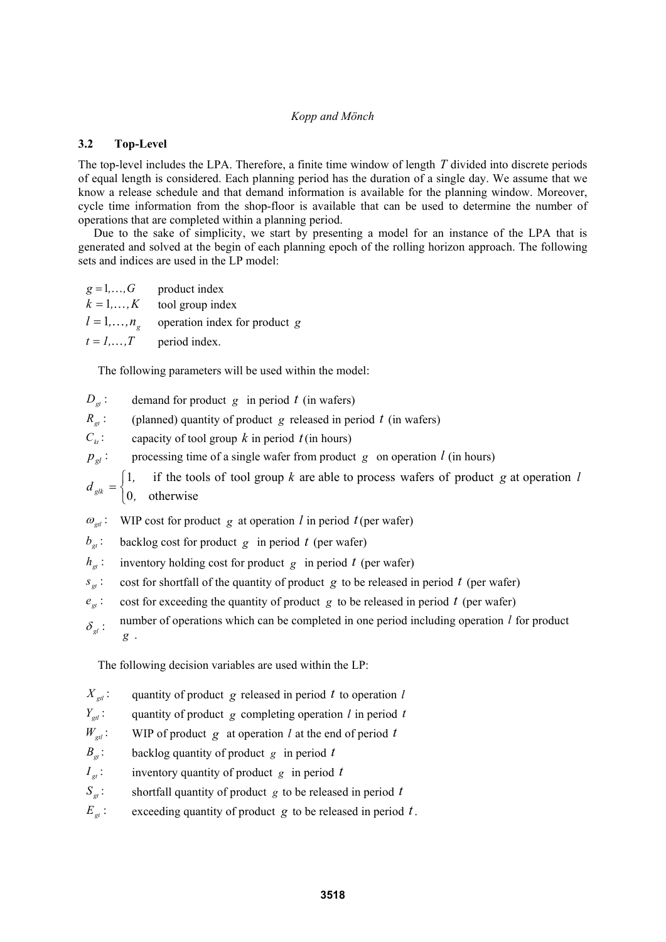# **3.2 Top-Level**

The top-level includes the LPA. Therefore, a finite time window of length *T* divided into discrete periods of equal length is considered. Each planning period has the duration of a single day. We assume that we know a release schedule and that demand information is available for the planning window. Moreover, cycle time information from the shop-floor is available that can be used to determine the number of operations that are completed within a planning period.

Due to the sake of simplicity, we start by presenting a model for an instance of the LPA that is generated and solved at the begin of each planning epoch of the rolling horizon approach. The following sets and indices are used in the LP model:

 $g = 1, \ldots, G$  product index  $k = 1, \ldots, K$  tool group index  $l = 1, \ldots, n_{\varphi}$  operation index for product *g*  $t = 1, \ldots, T$  period index.

The following parameters will be used within the model:

- $D_{\alpha}$ : demand for product *g* in period *t* (in wafers)
- $R_{gt}$ : (planned) quantity of product *g* released in period *t* (in wafers)
- $C_k$ : capacity of tool group *k* in period *t* (in hours)
- $p_{gl}$ : processing time of a single wafer from product *g* on operation *l* (in hours)

 $\overline{\mathcal{L}}$  $=\begin{cases} 1, & \text{if the tools of tool group } k \text{ are able to process wafers of product } g \text{ at operation} \\ 0, & \text{otherwise} \end{cases}$ *, f* if the tools of tool group k are able to process wafers of product g at operation  $\ell$ *d glk*

- $\omega_{\text{rel}}$ : WIP cost for product *g* at operation *l* in period *t*(per wafer)
- $b_{\sigma}$ : backlog cost for product *g* in period *t* (per wafer)
- $h_{gt}$ : inventory holding cost for product *g* in period *t* (per wafer)
- $s_{gt}$ : cost for shortfall of the quantity of product *g* to be released in period *t* (per wafer)
- $e_{\alpha}$ : cost for exceeding the quantity of product *g* to be released in period *t* (per wafer)
- $\delta_{el}$ : number of operations which can be completed in one period including operation *l* for product *g* .

The following decision variables are used within the LP:

- $X_{\text{rel}}$ : quantity of product *g* released in period *t* to operation *l*
- $Y_{\text{gal}}$ : quantity of product *g* completing operation *l* in period *t*

 $W_{\text{ext}}$ : WIP of product *g* at operation *l* at the end of period *t* 

- $B_{\alpha}$ : backlog quantity of product *g* in period *t*
- $I_{gt}$ : inventory quantity of product *g* in period *t*
- $S_{gt}$ : shortfall quantity of product *g* to be released in period *t*
- $E_{gt}$ : exceeding quantity of product *g* to be released in period *t*.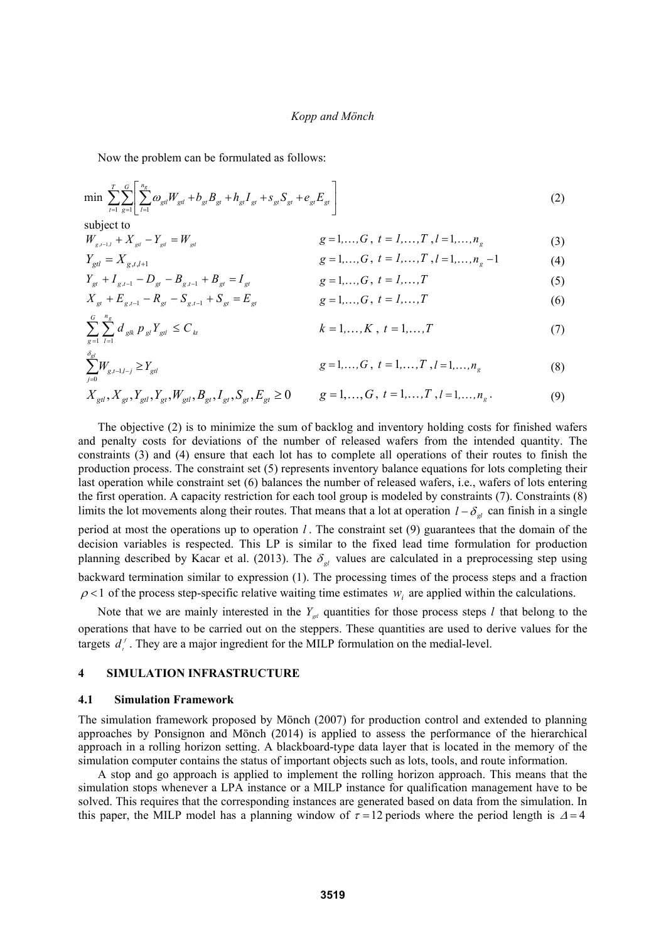Now the problem can be formulated as follows:

 $Y_{gt} + I_{g,t-1} - D_{gt} - B_{g,t}$ 

$$
\min \sum_{t=1}^{T} \sum_{g=1}^{G} \left[ \sum_{l=1}^{n_g} \omega_{gl} W_{gl} + b_{gl} B_{gt} + h_{gl} I_{gt} + s_{gl} S_{gt} + e_{gl} E_{gt} \right]
$$
\nsubject to

\n
$$
(2)
$$

$$
W_{g,t-1,l} + X_{gd} - Y_{gd} = W_{gd}
$$
\n
$$
Y_{gd} = X_{g,t,l+1}
$$
\n
$$
g = 1,...,G, t = 1,...,T, l = 1,...,n_g
$$
\n
$$
g = 1,...,G, t = 1,...,T, l = 1,...,n_g - 1
$$
\n(3)

$$
g = 1, ..., G, t = 1, ..., T, l = 1, ..., ng - 1
$$
 (4)

$$
S_{st} = I_{gt} \qquad \qquad g = 1, ..., G, \ t = 1, ..., T \tag{5}
$$

$$
X_{gt} + E_{gt-1} - R_{gt} - S_{gt-1} + S_{gt} = E_{gt}
$$
  $g = 1,...,G, t = 1,...,T$  (6)

$$
\sum_{g=1}^{G} \sum_{l=1}^{n_g} d_{glk} p_{gl} Y_{gll} \le C_{kt} \qquad k = 1,...,K, t = 1,...,T \qquad (7)
$$

$$
\sum_{j=0}^{s_{gl}} W_{g,t-1,l-j} \ge Y_{gl} \qquad \qquad g=1,\ldots,G \ , \ t=1,\ldots,T \ ,l=1,\ldots,n_g \qquad \qquad (8)
$$

$$
X_{gl}, X_{gt}, Y_{gt}, Y_{gl}, N_{gt}, W_{gl}, B_{gt}, I_{gt}, S_{gt}, E_{gt} \ge 0 \t g = 1, ..., G, t = 1, ..., T, l = 1, ..., n_g.
$$
 (9)

 The objective (2) is to minimize the sum of backlog and inventory holding costs for finished wafers and penalty costs for deviations of the number of released wafers from the intended quantity. The constraints (3) and (4) ensure that each lot has to complete all operations of their routes to finish the production process. The constraint set (5) represents inventory balance equations for lots completing their last operation while constraint set (6) balances the number of released wafers, i.e., wafers of lots entering the first operation. A capacity restriction for each tool group is modeled by constraints (7). Constraints (8) limits the lot movements along their routes. That means that a lot at operation  $l - \delta_{gl}$  can finish in a single period at most the operations up to operation *l* . The constraint set (9) guarantees that the domain of the decision variables is respected. This LP is similar to the fixed lead time formulation for production planning described by Kacar et al. (2013). The  $\delta_{el}$  values are calculated in a preprocessing step using backward termination similar to expression (1). The processing times of the process steps and a fraction  $\rho$ <1 of the process step-specific relative waiting time estimates  $w_i$  are applied within the calculations.

Note that we are mainly interested in the  $Y_{\text{gal}}$  quantities for those process steps *l* that belong to the operations that have to be carried out on the steppers. These quantities are used to derive values for the targets  $d^f$ . They are a major ingredient for the MILP formulation on the medial-level.

#### **4 SIMULATION INFRASTRUCTURE**

#### **4.1 Simulation Framework**

The simulation framework proposed by Mönch (2007) for production control and extended to planning approaches by Ponsignon and Mönch (2014) is applied to assess the performance of the hierarchical approach in a rolling horizon setting. A blackboard-type data layer that is located in the memory of the simulation computer contains the status of important objects such as lots, tools, and route information.

A stop and go approach is applied to implement the rolling horizon approach. This means that the simulation stops whenever a LPA instance or a MILP instance for qualification management have to be solved. This requires that the corresponding instances are generated based on data from the simulation. In this paper, the MILP model has a planning window of  $\tau = 12$  periods where the period length is  $\Delta = 4$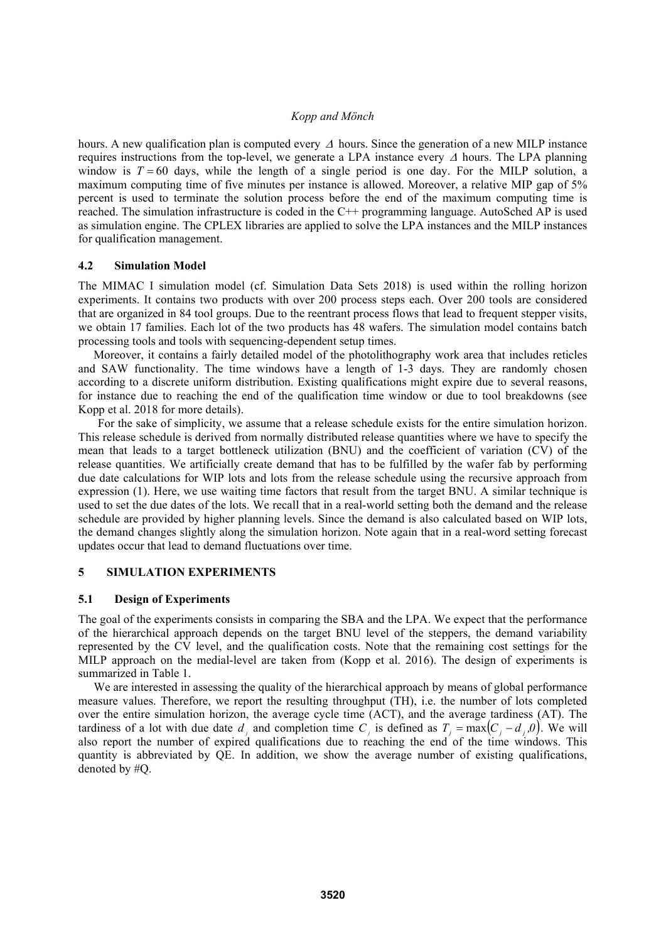hours. A new qualification plan is computed every  $\Delta$  hours. Since the generation of a new MILP instance requires instructions from the top-level, we generate a LPA instance every  $\Delta$  hours. The LPA planning window is  $T = 60$  days, while the length of a single period is one day. For the MILP solution, a maximum computing time of five minutes per instance is allowed. Moreover, a relative MIP gap of 5% percent is used to terminate the solution process before the end of the maximum computing time is reached. The simulation infrastructure is coded in the C++ programming language. AutoSched AP is used as simulation engine. The CPLEX libraries are applied to solve the LPA instances and the MILP instances for qualification management.

## **4.2 Simulation Model**

The MIMAC I simulation model (cf. Simulation Data Sets 2018) is used within the rolling horizon experiments. It contains two products with over 200 process steps each. Over 200 tools are considered that are organized in 84 tool groups. Due to the reentrant process flows that lead to frequent stepper visits, we obtain 17 families. Each lot of the two products has 48 wafers. The simulation model contains batch processing tools and tools with sequencing-dependent setup times.

Moreover, it contains a fairly detailed model of the photolithography work area that includes reticles and SAW functionality. The time windows have a length of 1-3 days. They are randomly chosen according to a discrete uniform distribution. Existing qualifications might expire due to several reasons, for instance due to reaching the end of the qualification time window or due to tool breakdowns (see Kopp et al. 2018 for more details).

For the sake of simplicity, we assume that a release schedule exists for the entire simulation horizon. This release schedule is derived from normally distributed release quantities where we have to specify the mean that leads to a target bottleneck utilization (BNU) and the coefficient of variation (CV) of the release quantities. We artificially create demand that has to be fulfilled by the wafer fab by performing due date calculations for WIP lots and lots from the release schedule using the recursive approach from expression (1). Here, we use waiting time factors that result from the target BNU. A similar technique is used to set the due dates of the lots. We recall that in a real-world setting both the demand and the release schedule are provided by higher planning levels. Since the demand is also calculated based on WIP lots, the demand changes slightly along the simulation horizon. Note again that in a real-word setting forecast updates occur that lead to demand fluctuations over time.

# **5 SIMULATION EXPERIMENTS**

#### **5.1 Design of Experiments**

The goal of the experiments consists in comparing the SBA and the LPA. We expect that the performance of the hierarchical approach depends on the target BNU level of the steppers, the demand variability represented by the CV level, and the qualification costs. Note that the remaining cost settings for the MILP approach on the medial-level are taken from (Kopp et al. 2016). The design of experiments is summarized in Table 1.

We are interested in assessing the quality of the hierarchical approach by means of global performance measure values. Therefore, we report the resulting throughput (TH), i.e. the number of lots completed over the entire simulation horizon, the average cycle time (ACT), and the average tardiness (AT). The tardiness of a lot with due date  $d_i$  and completion time  $C_i$  is defined as  $T_i = \max(C_i - d_i, 0)$ . We will also report the number of expired qualifications due to reaching the end of the time windows. This quantity is abbreviated by QE. In addition, we show the average number of existing qualifications, denoted by #Q.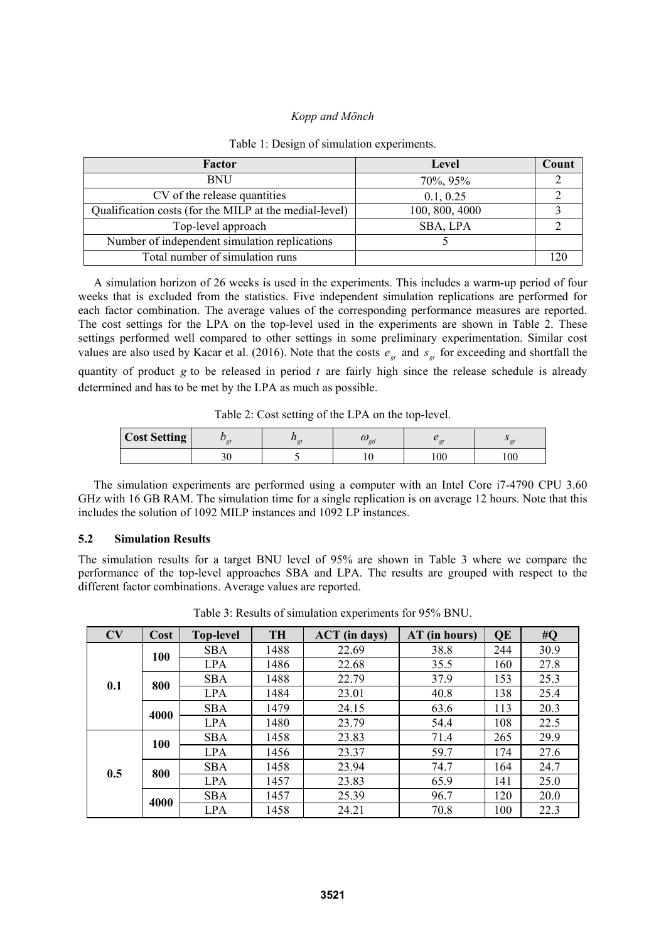| Factor                                                 | Level          | Count |
|--------------------------------------------------------|----------------|-------|
| <b>BNU</b>                                             | 70%, 95%       |       |
| CV of the release quantities                           | 0.1, 0.25      |       |
| Qualification costs (for the MILP at the medial-level) | 100, 800, 4000 |       |
| Top-level approach                                     | SBA, LPA       |       |
| Number of independent simulation replications          |                |       |
| Total number of simulation runs                        |                |       |

#### Table 1: Design of simulation experiments.

A simulation horizon of 26 weeks is used in the experiments. This includes a warm-up period of four weeks that is excluded from the statistics. Five independent simulation replications are performed for each factor combination. The average values of the corresponding performance measures are reported. The cost settings for the LPA on the top-level used in the experiments are shown in Table 2. These settings performed well compared to other settings in some preliminary experimentation. Similar cost values are also used by Kacar et al. (2016). Note that the costs  $e_{gt}$  and  $s_{gt}$  for exceeding and shortfall the quantity of product *g* to be released in period *t* are fairly high since the release schedule is already determined and has to be met by the LPA as much as possible.

Table 2: Cost setting of the LPA on the top-level.

| <b>Cost Setting</b> | $\alpha t$ | $\omega_{gtl}$ |    |     |  |
|---------------------|------------|----------------|----|-----|--|
|                     |            |                | 00 | 100 |  |

The simulation experiments are performed using a computer with an Intel Core i7-4790 CPU 3.60 GHz with 16 GB RAM. The simulation time for a single replication is on average 12 hours. Note that this includes the solution of 1092 MILP instances and 1092 LP instances.

# **5.2 Simulation Results**

The simulation results for a target BNU level of 95% are shown in Table 3 where we compare the performance of the top-level approaches SBA and LPA. The results are grouped with respect to the different factor combinations. Average values are reported.

| CV  | Cost | <b>Top-level</b> | <b>TH</b> | <b>ACT</b> (in days) | AT (in hours) | QE  | #Q   |
|-----|------|------------------|-----------|----------------------|---------------|-----|------|
| 0.1 | 100  | <b>SBA</b>       | 1488      | 22.69                | 38.8          | 244 | 30.9 |
|     |      | <b>LPA</b>       | 1486      | 22.68                | 35.5          | 160 | 27.8 |
|     | 800  | <b>SBA</b>       | 1488      | 22.79                | 37.9          | 153 | 25.3 |
|     |      | <b>LPA</b>       | 1484      | 23.01                | 40.8          | 138 | 25.4 |
|     | 4000 | <b>SBA</b>       | 1479      | 24.15                | 63.6          | 113 | 20.3 |
|     |      | <b>LPA</b>       | 1480      | 23.79                | 54.4          | 108 | 22.5 |
| 0.5 | 100  | <b>SBA</b>       | 1458      | 23.83                | 71.4          | 265 | 29.9 |
|     |      | <b>LPA</b>       | 1456      | 23.37                | 59.7          | 174 | 27.6 |
|     | 800  | <b>SBA</b>       | 1458      | 23.94                | 74.7          | 164 | 24.7 |
|     |      | <b>LPA</b>       | 1457      | 23.83                | 65.9          | 141 | 25.0 |
|     | 4000 | <b>SBA</b>       | 1457      | 25.39                | 96.7          | 120 | 20.0 |
|     |      | <b>LPA</b>       | 1458      | 24.21                | 70.8          | 100 | 22.3 |

Table 3: Results of simulation experiments for 95% BNU.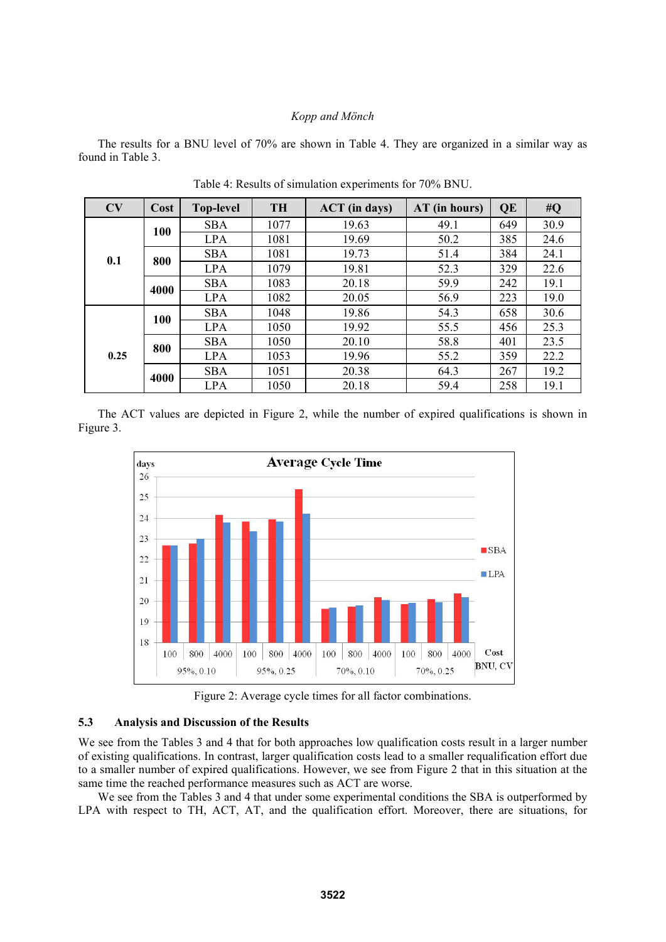The results for a BNU level of 70% are shown in Table 4. They are organized in a similar way as found in Table 3.

| CV   | Cost | <b>Top-level</b> | <b>TH</b> | <b>ACT</b> (in days) | $AT$ (in hours) | QE  | #Q   |
|------|------|------------------|-----------|----------------------|-----------------|-----|------|
| 0.1  | 100  | <b>SBA</b>       | 1077      | 19.63                | 49.1            | 649 | 30.9 |
|      |      | <b>LPA</b>       | 1081      | 19.69                | 50.2            | 385 | 24.6 |
|      | 800  | <b>SBA</b>       | 1081      | 19.73                | 51.4            | 384 | 24.1 |
|      |      | <b>LPA</b>       | 1079      | 19.81                | 52.3            | 329 | 22.6 |
|      | 4000 | <b>SBA</b>       | 1083      | 20.18                | 59.9            | 242 | 19.1 |
|      |      | <b>LPA</b>       | 1082      | 20.05                | 56.9            | 223 | 19.0 |
|      | 100  | <b>SBA</b>       | 1048      | 19.86                | 54.3            | 658 | 30.6 |
|      |      | <b>LPA</b>       | 1050      | 19.92                | 55.5            | 456 | 25.3 |
| 0.25 | 800  | <b>SBA</b>       | 1050      | 20.10                | 58.8            | 401 | 23.5 |
|      |      | <b>LPA</b>       | 1053      | 19.96                | 55.2            | 359 | 22.2 |
|      | 4000 | <b>SBA</b>       | 1051      | 20.38                | 64.3            | 267 | 19.2 |
|      |      | <b>LPA</b>       | 1050      | 20.18                | 59.4            | 258 | 19.1 |

Table 4: Results of simulation experiments for 70% BNU.

 The ACT values are depicted in Figure 2, while the number of expired qualifications is shown in Figure 3.



Figure 2: Average cycle times for all factor combinations.

## **5.3 Analysis and Discussion of the Results**

We see from the Tables 3 and 4 that for both approaches low qualification costs result in a larger number of existing qualifications. In contrast, larger qualification costs lead to a smaller requalification effort due to a smaller number of expired qualifications. However, we see from Figure 2 that in this situation at the same time the reached performance measures such as ACT are worse.

We see from the Tables 3 and 4 that under some experimental conditions the SBA is outperformed by LPA with respect to TH, ACT, AT, and the qualification effort. Moreover, there are situations, for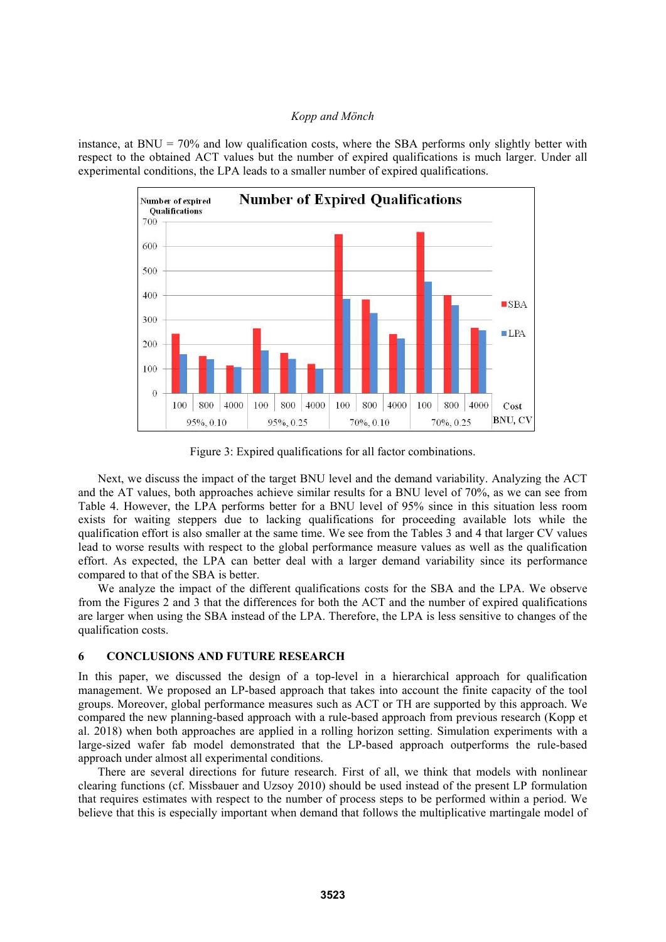instance, at BNU =  $70\%$  and low qualification costs, where the SBA performs only slightly better with respect to the obtained ACT values but the number of expired qualifications is much larger. Under all experimental conditions, the LPA leads to a smaller number of expired qualifications.



Figure 3: Expired qualifications for all factor combinations.

Next, we discuss the impact of the target BNU level and the demand variability. Analyzing the ACT and the AT values, both approaches achieve similar results for a BNU level of 70%, as we can see from Table 4. However, the LPA performs better for a BNU level of 95% since in this situation less room exists for waiting steppers due to lacking qualifications for proceeding available lots while the qualification effort is also smaller at the same time. We see from the Tables 3 and 4 that larger CV values lead to worse results with respect to the global performance measure values as well as the qualification effort. As expected, the LPA can better deal with a larger demand variability since its performance compared to that of the SBA is better.

We analyze the impact of the different qualifications costs for the SBA and the LPA. We observe from the Figures 2 and 3 that the differences for both the ACT and the number of expired qualifications are larger when using the SBA instead of the LPA. Therefore, the LPA is less sensitive to changes of the qualification costs.

# **6 CONCLUSIONS AND FUTURE RESEARCH**

In this paper, we discussed the design of a top-level in a hierarchical approach for qualification management. We proposed an LP-based approach that takes into account the finite capacity of the tool groups. Moreover, global performance measures such as ACT or TH are supported by this approach. We compared the new planning-based approach with a rule-based approach from previous research (Kopp et al. 2018) when both approaches are applied in a rolling horizon setting. Simulation experiments with a large-sized wafer fab model demonstrated that the LP-based approach outperforms the rule-based approach under almost all experimental conditions.

There are several directions for future research. First of all, we think that models with nonlinear clearing functions (cf. Missbauer and Uzsoy 2010) should be used instead of the present LP formulation that requires estimates with respect to the number of process steps to be performed within a period. We believe that this is especially important when demand that follows the multiplicative martingale model of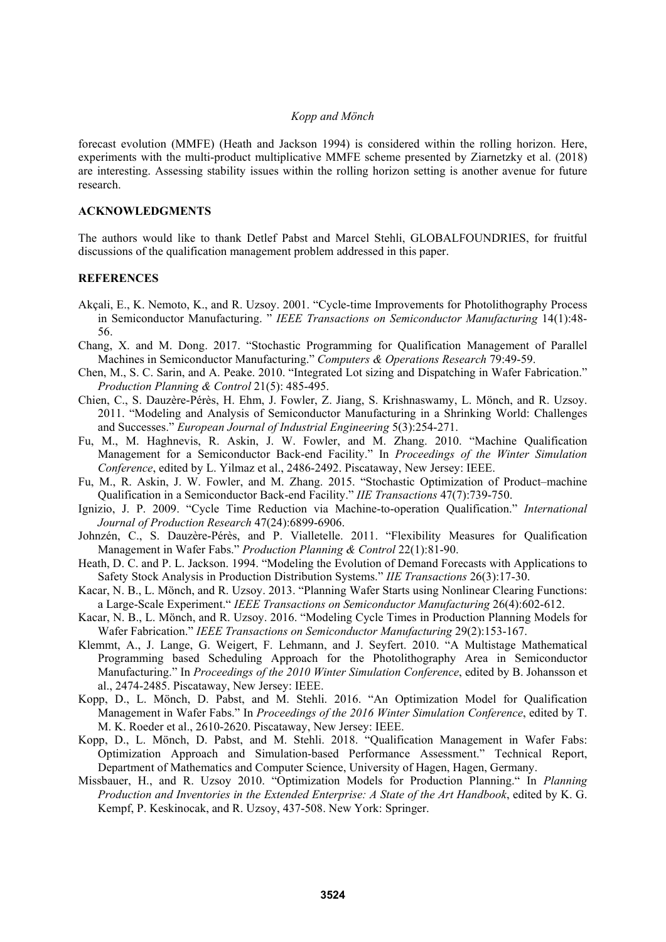forecast evolution (MMFE) (Heath and Jackson 1994) is considered within the rolling horizon. Here, experiments with the multi-product multiplicative MMFE scheme presented by Ziarnetzky et al. (2018) are interesting. Assessing stability issues within the rolling horizon setting is another avenue for future research.

### **ACKNOWLEDGMENTS**

The authors would like to thank Detlef Pabst and Marcel Stehli, GLOBALFOUNDRIES, for fruitful discussions of the qualification management problem addressed in this paper.

## **REFERENCES**

- Akçali, E., K. Nemoto, K., and R. Uzsoy. 2001. "Cycle-time Improvements for Photolithography Process in Semiconductor Manufacturing. " *IEEE Transactions on Semiconductor Manufacturing* 14(1):48- 56.
- Chang, X. and M. Dong. 2017. "Stochastic Programming for Qualification Management of Parallel Machines in Semiconductor Manufacturing." *Computers & Operations Research* 79:49-59.
- Chen, M., S. C. Sarin, and A. Peake. 2010. "Integrated Lot sizing and Dispatching in Wafer Fabrication." *Production Planning & Control* 21(5): 485-495.
- Chien, C., S. Dauzère-Pérès, H. Ehm, J. Fowler, Z. Jiang, S. Krishnaswamy, L. Mönch, and R. Uzsoy. 2011. "Modeling and Analysis of Semiconductor Manufacturing in a Shrinking World: Challenges and Successes." *European Journal of Industrial Engineering* 5(3):254-271.
- Fu, M., M. Haghnevis, R. Askin, J. W. Fowler, and M. Zhang. 2010. "Machine Qualification Management for a Semiconductor Back-end Facility." In *Proceedings of the Winter Simulation Conference*, edited by L. Yilmaz et al., 2486-2492. Piscataway, New Jersey: IEEE.
- Fu, M., R. Askin, J. W. Fowler, and M. Zhang. 2015. "Stochastic Optimization of Product–machine Qualification in a Semiconductor Back-end Facility." *IIE Transactions* 47(7):739-750.
- Ignizio, J. P. 2009. "Cycle Time Reduction via Machine-to-operation Qualification." *International Journal of Production Research* 47(24):6899-6906.
- Johnzén, C., S. Dauzère-Pérès, and P. Vialletelle. 2011. "Flexibility Measures for Qualification Management in Wafer Fabs." *Production Planning & Control* 22(1):81-90.
- Heath, D. C. and P. L. Jackson. 1994. "Modeling the Evolution of Demand Forecasts with Applications to Safety Stock Analysis in Production Distribution Systems." *IIE Transactions* 26(3):17-30.
- Kacar, N. B., L. Mönch, and R. Uzsoy. 2013. "Planning Wafer Starts using Nonlinear Clearing Functions: a Large-Scale Experiment." *IEEE Transactions on Semiconductor Manufacturing* 26(4):602-612.
- Kacar, N. B., L. Mönch, and R. Uzsoy. 2016. "Modeling Cycle Times in Production Planning Models for Wafer Fabrication." *IEEE Transactions on Semiconductor Manufacturing* 29(2):153-167.
- Klemmt, A., J. Lange, G. Weigert, F. Lehmann, and J. Seyfert. 2010. "A Multistage Mathematical Programming based Scheduling Approach for the Photolithography Area in Semiconductor Manufacturing." In *Proceedings of the 2010 Winter Simulation Conference*, edited by B. Johansson et al., 2474-2485. Piscataway, New Jersey: IEEE.
- Kopp, D., L. Mönch, D. Pabst, and M. Stehli. 2016. "An Optimization Model for Qualification Management in Wafer Fabs." In *Proceedings of the 2016 Winter Simulation Conference*, edited by T. M. K. Roeder et al., 2610-2620. Piscataway, New Jersey: IEEE.
- Kopp, D., L. Mönch, D. Pabst, and M. Stehli. 2018. "Qualification Management in Wafer Fabs: Optimization Approach and Simulation-based Performance Assessment." Technical Report, Department of Mathematics and Computer Science, University of Hagen, Hagen, Germany.
- Missbauer, H., and R. Uzsoy 2010. "Optimization Models for Production Planning." In *Planning Production and Inventories in the Extended Enterprise: A State of the Art Handbook*, edited by K. G. Kempf, P. Keskinocak, and R. Uzsoy, 437-508. New York: Springer.